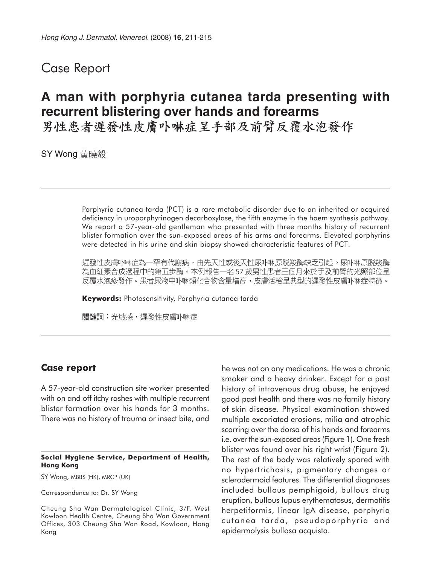## Case Report

# **A man with porphyria cutanea tarda presenting with recurrent blistering over hands and forearms**

男性患者遲發性皮膚卟啉症呈手部及前臂反覆水泡發作

SY Wong 黃曉毅

Porphyria cutanea tarda (PCT) is a rare metabolic disorder due to an inherited or acquired deficiency in uroporphyrinogen decarboxylase, the fifth enzyme in the haem synthesis pathway. We report a 57-year-old gentleman who presented with three months history of recurrent blister formation over the sun-exposed areas of his arms and forearms. Elevated porphyrins were detected in his urine and skin biopsy showed characteristic features of PCT.

遲發性皮膚卟啉症為一罕有代謝病,由先天性或後天性尿卟啉原脱羧酶缺乏引起。尿卟啉原脱羧酶 為血紅素合成過程中的第五步酶。本例報告一名57 歲男性患者三個月來於手及前臂的光照部位呈 反覆水泡疹發作。患者尿液中卟啉類化合物含量增高,皮膚活檢呈典型的遲發性皮膚卟啉症特徵。

**Keywords:** Photosensitivity, Porphyria cutanea tarda

關鍵詞:光敏感,遲發性皮膚卟啉症

### **Case report**

A 57-year-old construction site worker presented with on and off itchy rashes with multiple recurrent blister formation over his hands for 3 months. There was no history of trauma or insect bite, and

#### **Social Hygiene Service, Department of Health, Hong Kong**

SY Wong, MBBS (HK), MRCP (UK)

Correspondence to: Dr. SY Wong

he was not on any medications. He was a chronic smoker and a heavy drinker. Except for a past history of intravenous drug abuse, he enjoyed good past health and there was no family history of skin disease. Physical examination showed multiple excoriated erosions, milia and atrophic scarring over the dorsa of his hands and forearms i.e. over the sun-exposed areas (Figure 1). One fresh blister was found over his right wrist (Figure 2). The rest of the body was relatively spared with no hypertrichosis, pigmentary changes or sclerodermoid features. The differential diagnoses included bullous pemphigoid, bullous drug eruption, bullous lupus erythematosus, dermatitis herpetiformis, linear IgA disease, porphyria cutanea tarda, pseudoporphyria and epidermolysis bullosa acquista.

Cheung Sha Wan Dermatological Clinic, 3/F, West Kowloon Health Centre, Cheung Sha Wan Government Offices, 303 Cheung Sha Wan Road, Kowloon, Hong Kong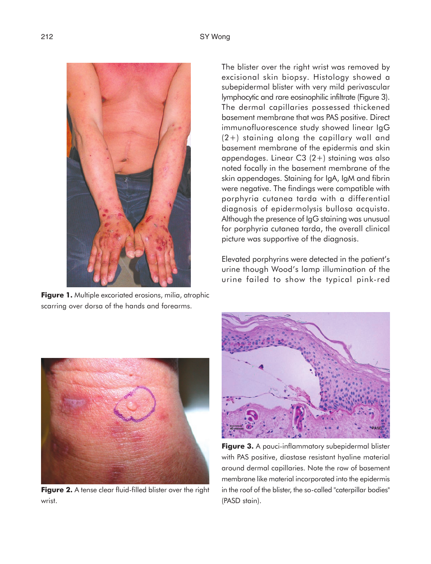

**Figure 1.** Multiple excoriated erosions, milia, atrophic scarring over dorsa of the hands and forearms.

The blister over the right wrist was removed by excisional skin biopsy. Histology showed a subepidermal blister with very mild perivascular lymphocytic and rare eosinophilic infiltrate (Figure 3). The dermal capillaries possessed thickened basement membrane that was PAS positive. Direct immunofluorescence study showed linear IgG (2+) staining along the capillary wall and basement membrane of the epidermis and skin appendages. Linear C3 (2+) staining was also noted focally in the basement membrane of the skin appendages. Staining for IgA, IgM and fibrin were negative. The findings were compatible with porphyria cutanea tarda with a differential diagnosis of epidermolysis bullosa acquista. Although the presence of IgG staining was unusual for porphyria cutanea tarda, the overall clinical picture was supportive of the diagnosis.

Elevated porphyrins were detected in the patient's urine though Wood's lamp illumination of the urine failed to show the typical pink-red



**Figure 2.** A tense clear fluid-filled blister over the right wrist.



**Figure 3.** A pauci-inflammatory subepidermal blister with PAS positive, diastase resistant hyaline material around dermal capillaries. Note the row of basement membrane like material incorporated into the epidermis in the roof of the blister, the so-called "caterpillar bodies" (PASD stain).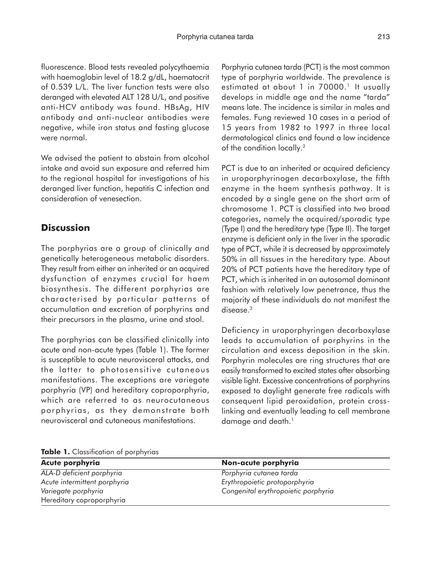fluorescence. Blood tests revealed polycythaemia with haemoglobin level of 18.2 g/dL, haematocrit of 0.539 L/L. The liver function tests were also deranged with elevated ALT 128 U/L, and positive anti-HCV antibody was found. HBsAg, HIV antibody and anti-nuclear antibodies were negative, while iron status and fasting glucose were normal.

We advised the patient to abstain from alcohol intake and avoid sun exposure and referred him to the regional hospital for investigations of his deranged liver function, hepatitis C infection and consideration of venesection.

## **Discussion**

The porphyrias are a group of clinically and genetically heterogeneous metabolic disorders. They result from either an inherited or an acquired dysfunction of enzymes crucial for haem biosynthesis. The different porphyrias are characterised by particular patterns of accumulation and excretion of porphyrins and their precursors in the plasma, urine and stool.

The porphyrias can be classified clinically into acute and non-acute types (Table 1). The former is susceptible to acute neurovisceral attacks, and the latter to photosensitive cutaneous manifestations. The exceptions are variegate porphyria (VP) and hereditary coproporphyria, which are referred to as neurocutaneous porphyrias, as they demonstrate both neurovisceral and cutaneous manifestations.

Porphyria cutanea tarda (PCT) is the most common type of porphyria worldwide. The prevalence is estimated at about 1 in 70000.<sup>1</sup> It usually develops in middle age and the name "tarda" means late. The incidence is similar in males and females. Fung reviewed 10 cases in a period of 15 years from 1982 to 1997 in three local dermatological clinics and found a low incidence of the condition locally.2

PCT is due to an inherited or acquired deficiency in uroporphyrinogen decarboxylase, the fifth enzyme in the haem synthesis pathway. It is encoded by a single gene on the short arm of chromosome 1. PCT is classified into two broad categories, namely the acquired/sporadic type (Type I) and the hereditary type (Type II). The target enzyme is deficient only in the liver in the sporadic type of PCT, while it is decreased by approximately 50% in all tissues in the hereditary type. About 20% of PCT patients have the hereditary type of PCT, which is inherited in an autosomal dominant fashion with relatively low penetrance, thus the majority of these individuals do not manifest the disease.<sup>3</sup>

Deficiency in uroporphyringen decarboxylase leads to accumulation of porphyrins in the circulation and excess deposition in the skin. Porphyrin molecules are ring structures that are easily transformed to excited states after absorbing visible light. Excessive concentrations of porphyrins exposed to daylight generate free radicals with consequent lipid peroxidation, protein crosslinking and eventually leading to cell membrane damage and death.<sup>1</sup>

**Table 1.** Classification of porphyrias

| <b>Acute porphyria</b>       | Non-acute porphyria                 |
|------------------------------|-------------------------------------|
| ALA-D deficient porphyria    | Porphyria cutanea tarda             |
| Acute intermittent porphyria | Erythropoietic protoporphyria       |
| Variegate porphyria          | Congenital erythropoietic porphyria |
| Hereditary coproporphyria    |                                     |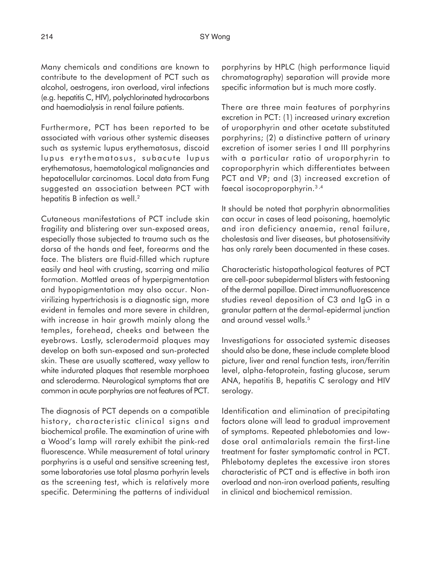Many chemicals and conditions are known to contribute to the development of PCT such as alcohol, oestrogens, iron overload, viral infections (e.g. hepatitis C, HIV), polychlorinated hydrocarbons and haemodialysis in renal failure patients.

Furthermore, PCT has been reported to be associated with various other systemic diseases such as systemic lupus erythematosus, discoid lupus erythematosus, subacute lupus erythematosus, haematological malignancies and hepatocellular carcinomas. Local data from Fung suggested an association between PCT with hepatitis B infection as well.<sup>2</sup>

Cutaneous manifestations of PCT include skin fragility and blistering over sun-exposed areas, especially those subjected to trauma such as the dorsa of the hands and feet, forearms and the face. The blisters are fluid-filled which rupture easily and heal with crusting, scarring and milia formation. Mottled areas of hyperpigmentation and hypopigmentation may also occur. Nonvirilizing hypertrichosis is a diagnostic sign, more evident in females and more severe in children, with increase in hair growth mainly along the temples, forehead, cheeks and between the eyebrows. Lastly, sclerodermoid plaques may develop on both sun-exposed and sun-protected skin. These are usually scattered, waxy yellow to white indurated plaques that resemble morphoea and scleroderma. Neurological symptoms that are common in acute porphyrias are not features of PCT.

The diagnosis of PCT depends on a compatible history, characteristic clinical signs and biochemical profile. The examination of urine with a Wood's lamp will rarely exhibit the pink-red fluorescence. While measurement of total urinary porphyrins is a useful and sensitive screening test, some laboratories use total plasma porhyrin levels as the screening test, which is relatively more specific. Determining the patterns of individual porphyrins by HPLC (high performance liquid chromatography) separation will provide more specific information but is much more costly.

There are three main features of porphyrins excretion in PCT: (1) increased urinary excretion of uroporphyrin and other acetate substituted porphyrins; (2) a distinctive pattern of urinary excretion of isomer series I and III porphyrins with a particular ratio of uroporphyrin to coproporphyrin which differentiates between PCT and VP; and (3) increased excretion of faecal isocoproporphyrin.3 ,4

It should be noted that porphyrin abnormalities can occur in cases of lead poisoning, haemolytic and iron deficiency anaemia, renal failure, cholestasis and liver diseases, but photosensitivity has only rarely been documented in these cases.

Characteristic histopathological features of PCT are cell-poor subepidermal blisters with festooning of the dermal papillae. Direct immunofluorescence studies reveal deposition of C3 and IgG in a granular pattern at the dermal-epidermal junction and around vessel walls.5

Investigations for associated systemic diseases should also be done, these include complete blood picture, liver and renal function tests, iron/ferritin level, alpha-fetoprotein, fasting glucose, serum ANA, hepatitis B, hepatitis C serology and HIV serology.

Identification and elimination of precipitating factors alone will lead to gradual improvement of symptoms. Repeated phlebotomies and lowdose oral antimalarials remain the first-line treatment for faster symptomatic control in PCT. Phlebotomy depletes the excessive iron stores characteristic of PCT and is effective in both iron overload and non-iron overload patients, resulting in clinical and biochemical remission.